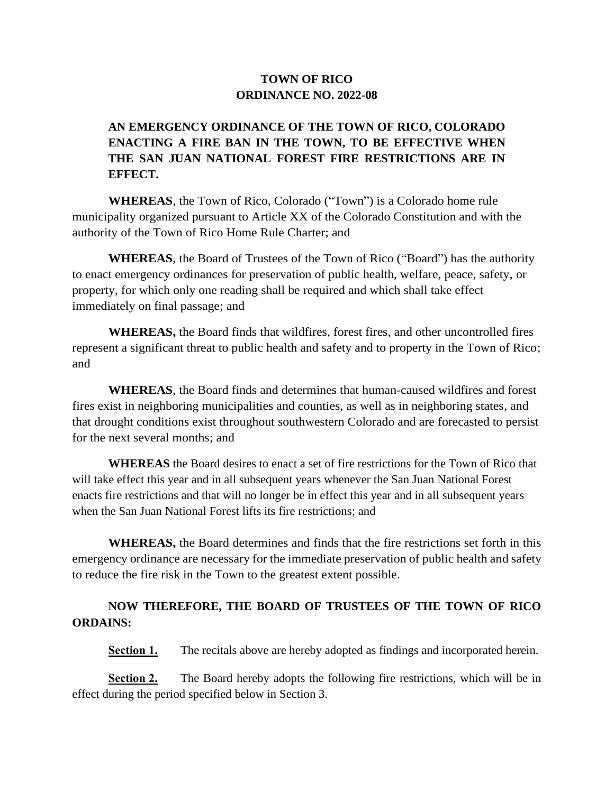## **TOWN OF RICO ORDINANCE NO. 2022-08**

## **AN EMERGENCY ORDINANCE OF THE TOWN OF RICO, COLORADO ENACTING A FIRE BAN IN THE TOWN, TO BE EFFECTIVE WHEN THE SAN JUAN NATIONAL FOREST FIRE RESTRICTIONS ARE IN EFFECT.**

**WHEREAS**, the Town of Rico, Colorado ("Town") is a Colorado home rule municipality organized pursuant to Article XX of the Colorado Constitution and with the authority of the Town of Rico Home Rule Charter; and

**WHEREAS**, the Board of Trustees of the Town of Rico ("Board") has the authority to enact emergency ordinances for preservation of public health, welfare, peace, safety, or property, for which only one reading shall be required and which shall take effect immediately on final passage; and

**WHEREAS,** the Board finds that wildfires, forest fires, and other uncontrolled fires represent a significant threat to public health and safety and to property in the Town of Rico; and

**WHEREAS**, the Board finds and determines that human-caused wildfires and forest fires exist in neighboring municipalities and counties, as well as in neighboring states, and that drought conditions exist throughout southwestern Colorado and are forecasted to persist for the next several months; and

**WHEREAS** the Board desires to enact a set of fire restrictions for the Town of Rico that will take effect this year and in all subsequent years whenever the San Juan National Forest enacts fire restrictions and that will no longer be in effect this year and in all subsequent years when the San Juan National Forest lifts its fire restrictions; and

**WHEREAS,** the Board determines and finds that the fire restrictions set forth in this emergency ordinance are necessary for the immediate preservation of public health and safety to reduce the fire risk in the Town to the greatest extent possible.

## **NOW THEREFORE, THE BOARD OF TRUSTEES OF THE TOWN OF RICO ORDAINS:**

**Section 1.** The recitals above are hereby adopted as findings and incorporated herein.

**Section 2.** The Board hereby adopts the following fire restrictions, which will be in effect during the period specified below in Section 3.